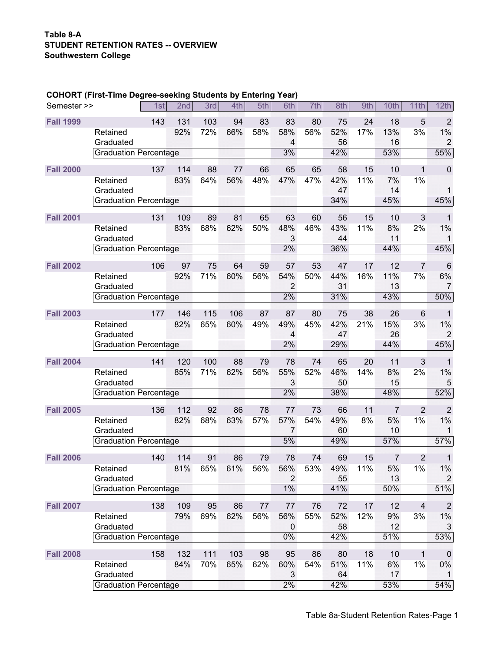## **Table 8-A STUDENT RETENTION RATES -- OVERVIEW Southwestern College**

## **COHORT (First-Time Degree-seeking Students by Entering Year)**

| <b>Fall 1999</b><br>143<br>103<br>83<br>5<br>$\overline{2}$<br>131<br>94<br>83<br>80<br>75<br>24<br>18<br>66%<br>52%<br>17%<br>13%<br>1%<br>92%<br>72%<br>58%<br>58%<br>56%<br>3%<br>Retained<br>$\overline{2}$<br>56<br>16<br>Graduated<br>4<br>55%<br>3%<br>42%<br>53%<br>Graduation Percentage<br><b>Fall 2000</b><br>137<br>114<br>88<br>66<br>58<br>15<br>10<br>$\mathbf 0$<br>77<br>65<br>65<br>1<br>64%<br>83%<br>56%<br>48%<br>47%<br>47%<br>42%<br>11%<br>7%<br>1%<br>Retained<br>Graduated<br>47<br>14<br>1<br>45%<br>34%<br>45%<br><b>Graduation Percentage</b><br><b>Fall 2001</b><br>131<br>109<br>89<br>65<br>63<br>60<br>56<br>15<br>10<br>3<br>81<br>1<br>83%<br>68%<br>62%<br>50%<br>48%<br>46%<br>43%<br>11%<br>8%<br>1%<br>Retained<br>2%<br>3<br>11<br>Graduated<br>44<br>1<br>45%<br>2%<br>36%<br>44%<br>Graduation Percentage<br>53<br><b>Fall 2002</b><br>97<br>64<br>59<br>57<br>47<br>17<br>12<br>$\overline{7}$<br>$6\phantom{1}6$<br>106<br>75<br>92%<br>71%<br>60%<br>56%<br>54%<br>50%<br>44%<br>16%<br>11%<br>7%<br>6%<br>Retained<br>Graduated<br>$\overline{2}$<br>31<br>13<br>7<br>50%<br>2%<br>31%<br>43%<br><b>Graduation Percentage</b><br><b>Fall 2003</b><br>146<br>115<br>106<br>87<br>87<br>80<br>75<br>38<br>26<br>$6\phantom{1}6$<br>177<br>$\mathbf 1$<br>42%<br>1%<br>82%<br>65%<br>60%<br>49%<br>49%<br>45%<br>21%<br>15%<br>3%<br>Retained<br>26<br>$\overline{c}$<br>47<br>Graduated<br>$\overline{\mathbf{4}}$<br>45%<br>2%<br>29%<br>44%<br><b>Graduation Percentage</b><br><b>Fall 2004</b><br>141<br>120<br>100<br>88<br>79<br>20<br>11<br>3<br>78<br>74<br>65<br>$\mathbf 1$<br>71%<br>56%<br>85%<br>62%<br>55%<br>52%<br>46%<br>14%<br>8%<br>2%<br>1%<br>Retained<br>3<br>5<br>50<br>15<br>Graduated<br>52%<br>2%<br>48%<br>38%<br><b>Graduation Percentage</b> |
|----------------------------------------------------------------------------------------------------------------------------------------------------------------------------------------------------------------------------------------------------------------------------------------------------------------------------------------------------------------------------------------------------------------------------------------------------------------------------------------------------------------------------------------------------------------------------------------------------------------------------------------------------------------------------------------------------------------------------------------------------------------------------------------------------------------------------------------------------------------------------------------------------------------------------------------------------------------------------------------------------------------------------------------------------------------------------------------------------------------------------------------------------------------------------------------------------------------------------------------------------------------------------------------------------------------------------------------------------------------------------------------------------------------------------------------------------------------------------------------------------------------------------------------------------------------------------------------------------------------------------------------------------------------------------------------------------------------------------------------------------------------------------------------------------------------------|
|                                                                                                                                                                                                                                                                                                                                                                                                                                                                                                                                                                                                                                                                                                                                                                                                                                                                                                                                                                                                                                                                                                                                                                                                                                                                                                                                                                                                                                                                                                                                                                                                                                                                                                                                                                                                                      |
|                                                                                                                                                                                                                                                                                                                                                                                                                                                                                                                                                                                                                                                                                                                                                                                                                                                                                                                                                                                                                                                                                                                                                                                                                                                                                                                                                                                                                                                                                                                                                                                                                                                                                                                                                                                                                      |
|                                                                                                                                                                                                                                                                                                                                                                                                                                                                                                                                                                                                                                                                                                                                                                                                                                                                                                                                                                                                                                                                                                                                                                                                                                                                                                                                                                                                                                                                                                                                                                                                                                                                                                                                                                                                                      |
|                                                                                                                                                                                                                                                                                                                                                                                                                                                                                                                                                                                                                                                                                                                                                                                                                                                                                                                                                                                                                                                                                                                                                                                                                                                                                                                                                                                                                                                                                                                                                                                                                                                                                                                                                                                                                      |
|                                                                                                                                                                                                                                                                                                                                                                                                                                                                                                                                                                                                                                                                                                                                                                                                                                                                                                                                                                                                                                                                                                                                                                                                                                                                                                                                                                                                                                                                                                                                                                                                                                                                                                                                                                                                                      |
|                                                                                                                                                                                                                                                                                                                                                                                                                                                                                                                                                                                                                                                                                                                                                                                                                                                                                                                                                                                                                                                                                                                                                                                                                                                                                                                                                                                                                                                                                                                                                                                                                                                                                                                                                                                                                      |
|                                                                                                                                                                                                                                                                                                                                                                                                                                                                                                                                                                                                                                                                                                                                                                                                                                                                                                                                                                                                                                                                                                                                                                                                                                                                                                                                                                                                                                                                                                                                                                                                                                                                                                                                                                                                                      |
|                                                                                                                                                                                                                                                                                                                                                                                                                                                                                                                                                                                                                                                                                                                                                                                                                                                                                                                                                                                                                                                                                                                                                                                                                                                                                                                                                                                                                                                                                                                                                                                                                                                                                                                                                                                                                      |
|                                                                                                                                                                                                                                                                                                                                                                                                                                                                                                                                                                                                                                                                                                                                                                                                                                                                                                                                                                                                                                                                                                                                                                                                                                                                                                                                                                                                                                                                                                                                                                                                                                                                                                                                                                                                                      |
|                                                                                                                                                                                                                                                                                                                                                                                                                                                                                                                                                                                                                                                                                                                                                                                                                                                                                                                                                                                                                                                                                                                                                                                                                                                                                                                                                                                                                                                                                                                                                                                                                                                                                                                                                                                                                      |
|                                                                                                                                                                                                                                                                                                                                                                                                                                                                                                                                                                                                                                                                                                                                                                                                                                                                                                                                                                                                                                                                                                                                                                                                                                                                                                                                                                                                                                                                                                                                                                                                                                                                                                                                                                                                                      |
|                                                                                                                                                                                                                                                                                                                                                                                                                                                                                                                                                                                                                                                                                                                                                                                                                                                                                                                                                                                                                                                                                                                                                                                                                                                                                                                                                                                                                                                                                                                                                                                                                                                                                                                                                                                                                      |
|                                                                                                                                                                                                                                                                                                                                                                                                                                                                                                                                                                                                                                                                                                                                                                                                                                                                                                                                                                                                                                                                                                                                                                                                                                                                                                                                                                                                                                                                                                                                                                                                                                                                                                                                                                                                                      |
|                                                                                                                                                                                                                                                                                                                                                                                                                                                                                                                                                                                                                                                                                                                                                                                                                                                                                                                                                                                                                                                                                                                                                                                                                                                                                                                                                                                                                                                                                                                                                                                                                                                                                                                                                                                                                      |
|                                                                                                                                                                                                                                                                                                                                                                                                                                                                                                                                                                                                                                                                                                                                                                                                                                                                                                                                                                                                                                                                                                                                                                                                                                                                                                                                                                                                                                                                                                                                                                                                                                                                                                                                                                                                                      |
|                                                                                                                                                                                                                                                                                                                                                                                                                                                                                                                                                                                                                                                                                                                                                                                                                                                                                                                                                                                                                                                                                                                                                                                                                                                                                                                                                                                                                                                                                                                                                                                                                                                                                                                                                                                                                      |
|                                                                                                                                                                                                                                                                                                                                                                                                                                                                                                                                                                                                                                                                                                                                                                                                                                                                                                                                                                                                                                                                                                                                                                                                                                                                                                                                                                                                                                                                                                                                                                                                                                                                                                                                                                                                                      |
|                                                                                                                                                                                                                                                                                                                                                                                                                                                                                                                                                                                                                                                                                                                                                                                                                                                                                                                                                                                                                                                                                                                                                                                                                                                                                                                                                                                                                                                                                                                                                                                                                                                                                                                                                                                                                      |
|                                                                                                                                                                                                                                                                                                                                                                                                                                                                                                                                                                                                                                                                                                                                                                                                                                                                                                                                                                                                                                                                                                                                                                                                                                                                                                                                                                                                                                                                                                                                                                                                                                                                                                                                                                                                                      |
|                                                                                                                                                                                                                                                                                                                                                                                                                                                                                                                                                                                                                                                                                                                                                                                                                                                                                                                                                                                                                                                                                                                                                                                                                                                                                                                                                                                                                                                                                                                                                                                                                                                                                                                                                                                                                      |
|                                                                                                                                                                                                                                                                                                                                                                                                                                                                                                                                                                                                                                                                                                                                                                                                                                                                                                                                                                                                                                                                                                                                                                                                                                                                                                                                                                                                                                                                                                                                                                                                                                                                                                                                                                                                                      |
|                                                                                                                                                                                                                                                                                                                                                                                                                                                                                                                                                                                                                                                                                                                                                                                                                                                                                                                                                                                                                                                                                                                                                                                                                                                                                                                                                                                                                                                                                                                                                                                                                                                                                                                                                                                                                      |
|                                                                                                                                                                                                                                                                                                                                                                                                                                                                                                                                                                                                                                                                                                                                                                                                                                                                                                                                                                                                                                                                                                                                                                                                                                                                                                                                                                                                                                                                                                                                                                                                                                                                                                                                                                                                                      |
|                                                                                                                                                                                                                                                                                                                                                                                                                                                                                                                                                                                                                                                                                                                                                                                                                                                                                                                                                                                                                                                                                                                                                                                                                                                                                                                                                                                                                                                                                                                                                                                                                                                                                                                                                                                                                      |
|                                                                                                                                                                                                                                                                                                                                                                                                                                                                                                                                                                                                                                                                                                                                                                                                                                                                                                                                                                                                                                                                                                                                                                                                                                                                                                                                                                                                                                                                                                                                                                                                                                                                                                                                                                                                                      |
|                                                                                                                                                                                                                                                                                                                                                                                                                                                                                                                                                                                                                                                                                                                                                                                                                                                                                                                                                                                                                                                                                                                                                                                                                                                                                                                                                                                                                                                                                                                                                                                                                                                                                                                                                                                                                      |
|                                                                                                                                                                                                                                                                                                                                                                                                                                                                                                                                                                                                                                                                                                                                                                                                                                                                                                                                                                                                                                                                                                                                                                                                                                                                                                                                                                                                                                                                                                                                                                                                                                                                                                                                                                                                                      |
| <b>Fall 2005</b><br>112<br>92<br>86<br>78<br>11<br>7<br>$\overline{2}$<br>$\overline{2}$<br>136<br>77<br>73<br>66                                                                                                                                                                                                                                                                                                                                                                                                                                                                                                                                                                                                                                                                                                                                                                                                                                                                                                                                                                                                                                                                                                                                                                                                                                                                                                                                                                                                                                                                                                                                                                                                                                                                                                    |
| 68%<br>63%<br>57%<br>57%<br>8%<br>1%<br>82%<br>54%<br>49%<br>5%<br>1%<br>Retained                                                                                                                                                                                                                                                                                                                                                                                                                                                                                                                                                                                                                                                                                                                                                                                                                                                                                                                                                                                                                                                                                                                                                                                                                                                                                                                                                                                                                                                                                                                                                                                                                                                                                                                                    |
| 60<br>10<br>Graduated<br>7                                                                                                                                                                                                                                                                                                                                                                                                                                                                                                                                                                                                                                                                                                                                                                                                                                                                                                                                                                                                                                                                                                                                                                                                                                                                                                                                                                                                                                                                                                                                                                                                                                                                                                                                                                                           |
| 5%<br>49%<br>57%<br>57%<br>Graduation Percentage                                                                                                                                                                                                                                                                                                                                                                                                                                                                                                                                                                                                                                                                                                                                                                                                                                                                                                                                                                                                                                                                                                                                                                                                                                                                                                                                                                                                                                                                                                                                                                                                                                                                                                                                                                     |
| $\overline{2}$<br><b>Fall 2006</b><br>114<br>91<br>86<br>74<br>69<br>15<br>7<br>140<br>79<br>78<br>1                                                                                                                                                                                                                                                                                                                                                                                                                                                                                                                                                                                                                                                                                                                                                                                                                                                                                                                                                                                                                                                                                                                                                                                                                                                                                                                                                                                                                                                                                                                                                                                                                                                                                                                 |
| 81%<br>61%<br>56%<br>56%<br>53%<br>49%<br>11%<br>5%<br>1%<br>$1\%$<br>65%<br>Retained                                                                                                                                                                                                                                                                                                                                                                                                                                                                                                                                                                                                                                                                                                                                                                                                                                                                                                                                                                                                                                                                                                                                                                                                                                                                                                                                                                                                                                                                                                                                                                                                                                                                                                                                |
| $\overline{2}$<br>13<br>Graduated<br>55<br>$\overline{2}$                                                                                                                                                                                                                                                                                                                                                                                                                                                                                                                                                                                                                                                                                                                                                                                                                                                                                                                                                                                                                                                                                                                                                                                                                                                                                                                                                                                                                                                                                                                                                                                                                                                                                                                                                            |
| 51%<br>$1\%$<br>41%<br>50%<br><b>Graduation Percentage</b>                                                                                                                                                                                                                                                                                                                                                                                                                                                                                                                                                                                                                                                                                                                                                                                                                                                                                                                                                                                                                                                                                                                                                                                                                                                                                                                                                                                                                                                                                                                                                                                                                                                                                                                                                           |
|                                                                                                                                                                                                                                                                                                                                                                                                                                                                                                                                                                                                                                                                                                                                                                                                                                                                                                                                                                                                                                                                                                                                                                                                                                                                                                                                                                                                                                                                                                                                                                                                                                                                                                                                                                                                                      |
| <b>Fall 2007</b><br>138<br>109<br>95<br>86<br>77<br>72<br>17<br>12<br>$\overline{2}$<br>77<br>76<br>$\overline{4}$                                                                                                                                                                                                                                                                                                                                                                                                                                                                                                                                                                                                                                                                                                                                                                                                                                                                                                                                                                                                                                                                                                                                                                                                                                                                                                                                                                                                                                                                                                                                                                                                                                                                                                   |
| 62%<br>$1\%$<br>79%<br>56%<br>56%<br>55%<br>52%<br>12%<br>3%<br>Retained<br>69%<br>9%                                                                                                                                                                                                                                                                                                                                                                                                                                                                                                                                                                                                                                                                                                                                                                                                                                                                                                                                                                                                                                                                                                                                                                                                                                                                                                                                                                                                                                                                                                                                                                                                                                                                                                                                |
| 58<br>12<br>Graduated<br>$\pmb{0}$<br>3                                                                                                                                                                                                                                                                                                                                                                                                                                                                                                                                                                                                                                                                                                                                                                                                                                                                                                                                                                                                                                                                                                                                                                                                                                                                                                                                                                                                                                                                                                                                                                                                                                                                                                                                                                              |
| 53%<br>0%<br>42%<br>51%<br><b>Graduation Percentage</b>                                                                                                                                                                                                                                                                                                                                                                                                                                                                                                                                                                                                                                                                                                                                                                                                                                                                                                                                                                                                                                                                                                                                                                                                                                                                                                                                                                                                                                                                                                                                                                                                                                                                                                                                                              |
| <b>Fall 2008</b><br>158<br>132<br>111<br>103<br>98<br>80<br>10<br>95<br>86<br>18<br>1<br>$\pmb{0}$                                                                                                                                                                                                                                                                                                                                                                                                                                                                                                                                                                                                                                                                                                                                                                                                                                                                                                                                                                                                                                                                                                                                                                                                                                                                                                                                                                                                                                                                                                                                                                                                                                                                                                                   |
| 84%<br>70%<br>65%<br>54%<br>11%<br>1%<br>$0\%$<br>Retained<br>62%<br>60%<br>51%<br>6%                                                                                                                                                                                                                                                                                                                                                                                                                                                                                                                                                                                                                                                                                                                                                                                                                                                                                                                                                                                                                                                                                                                                                                                                                                                                                                                                                                                                                                                                                                                                                                                                                                                                                                                                |
| Graduated<br>17<br>3<br>64<br>1                                                                                                                                                                                                                                                                                                                                                                                                                                                                                                                                                                                                                                                                                                                                                                                                                                                                                                                                                                                                                                                                                                                                                                                                                                                                                                                                                                                                                                                                                                                                                                                                                                                                                                                                                                                      |
| 2%<br>54%<br>42%<br>53%<br><b>Graduation Percentage</b>                                                                                                                                                                                                                                                                                                                                                                                                                                                                                                                                                                                                                                                                                                                                                                                                                                                                                                                                                                                                                                                                                                                                                                                                                                                                                                                                                                                                                                                                                                                                                                                                                                                                                                                                                              |